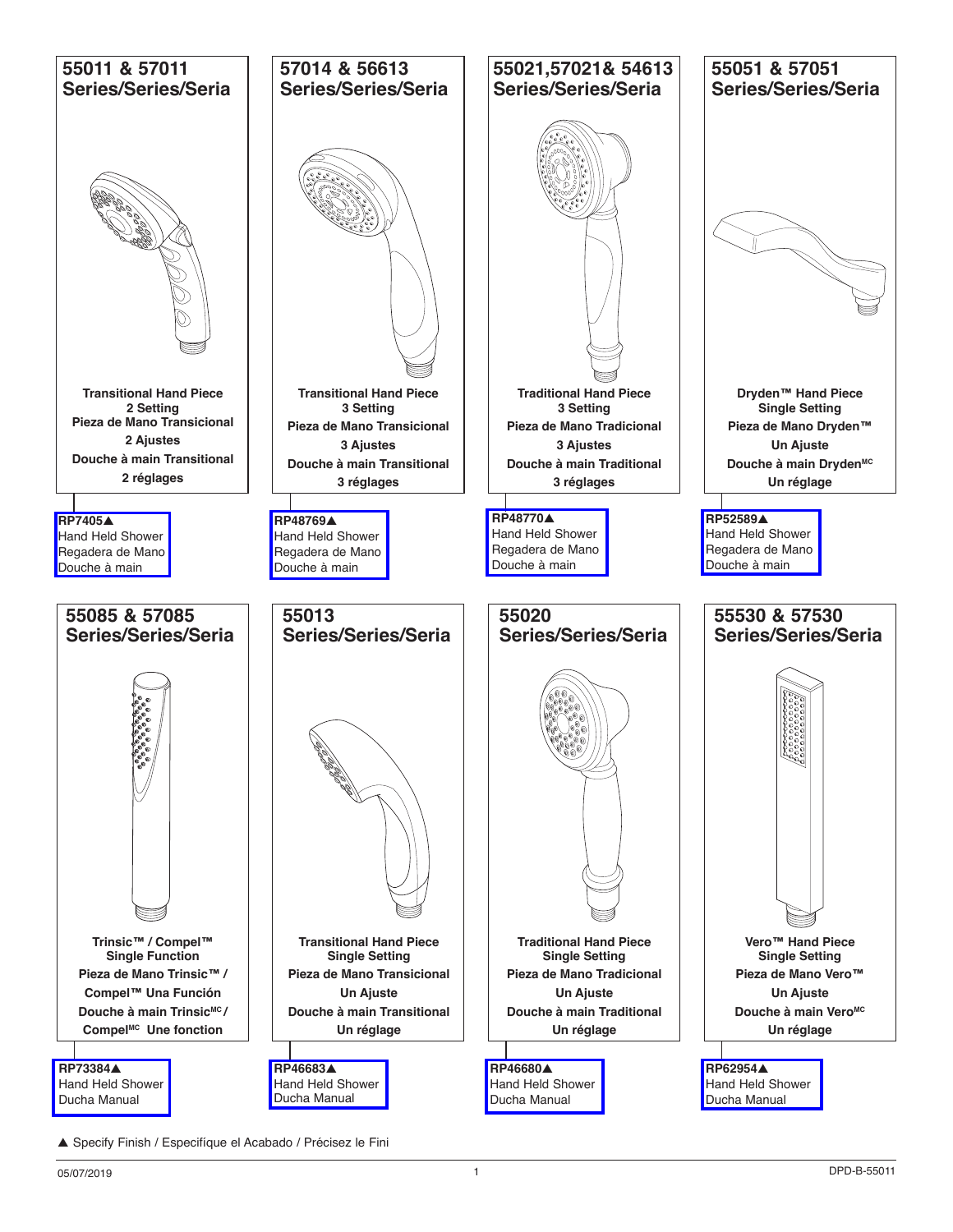

<sup>▲</sup> Specify Finish / Especifíque el Acabado / Précisez le Fini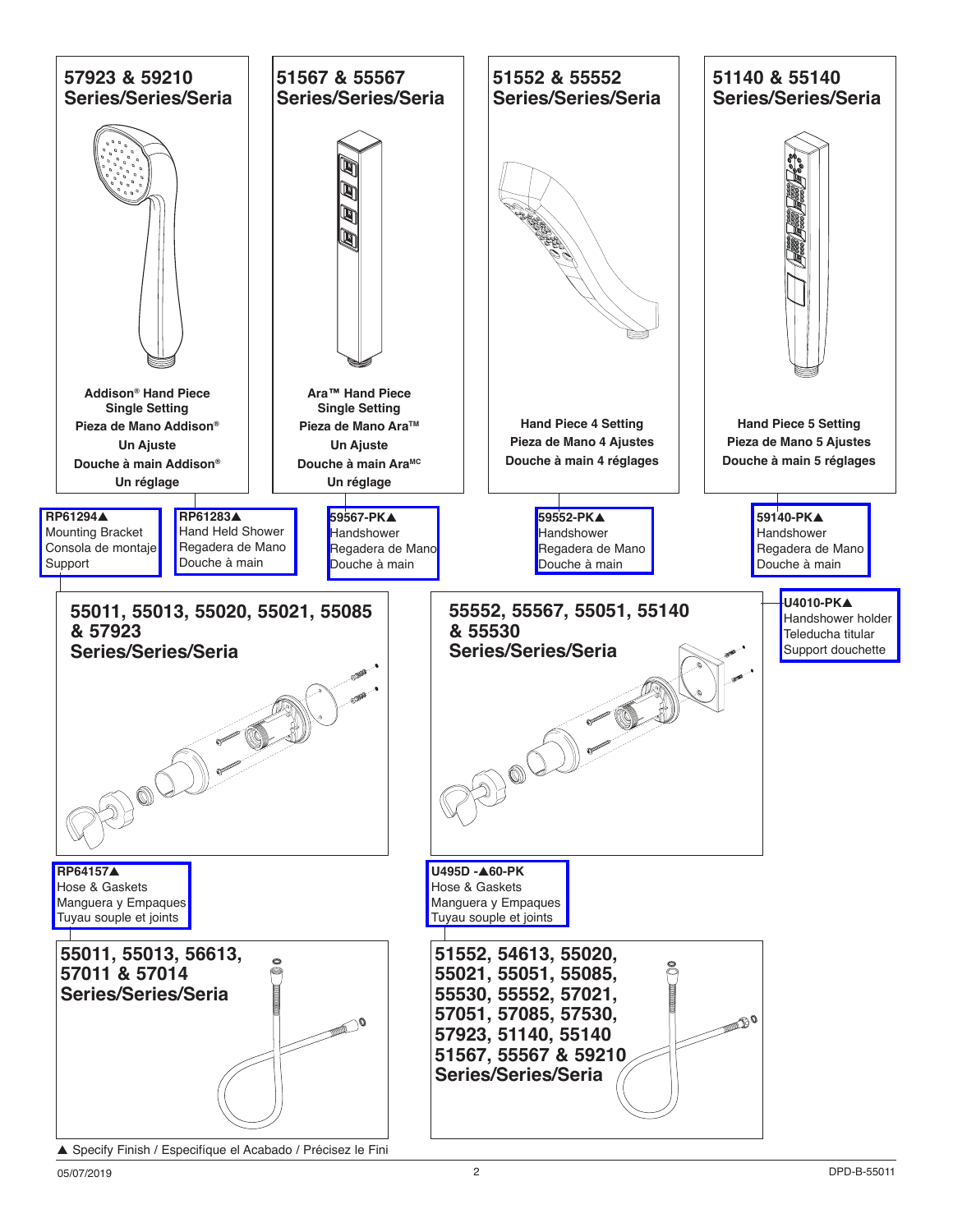